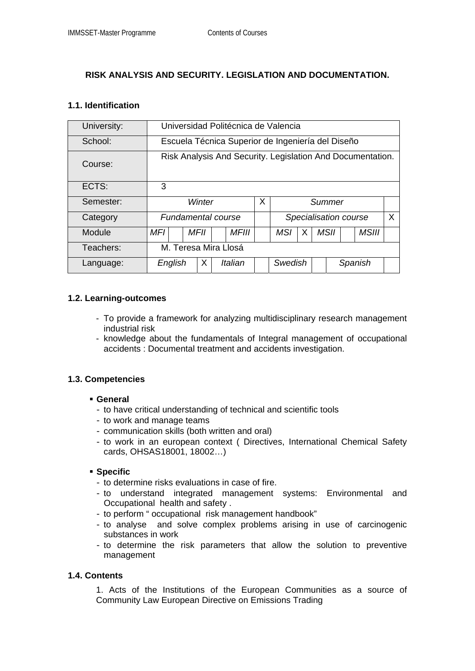# **RISK ANALYSIS AND SECURITY. LEGISLATION AND DOCUMENTATION.**

### **1.1. Identification**

| University: | Universidad Politécnica de Valencia                        |  |      |  |              |  |                            |   |  |      |         |              |  |  |
|-------------|------------------------------------------------------------|--|------|--|--------------|--|----------------------------|---|--|------|---------|--------------|--|--|
| School:     | Escuela Técnica Superior de Ingeniería del Diseño          |  |      |  |              |  |                            |   |  |      |         |              |  |  |
| Course:     | Risk Analysis And Security. Legislation And Documentation. |  |      |  |              |  |                            |   |  |      |         |              |  |  |
| ECTS:       | 3                                                          |  |      |  |              |  |                            |   |  |      |         |              |  |  |
| Semester:   | Winter                                                     |  |      |  |              |  | Summer                     |   |  |      |         |              |  |  |
| Category    | <b>Fundamental course</b>                                  |  |      |  |              |  | X<br>Specialisation course |   |  |      |         |              |  |  |
| Module      | MFI                                                        |  | MFII |  | <i>MFIII</i> |  | <b>MSI</b>                 | X |  | MSII |         | <b>MSIII</b> |  |  |
| Teachers:   | M. Teresa Mira Llosá                                       |  |      |  |              |  |                            |   |  |      |         |              |  |  |
| Language:   | English                                                    |  | X    |  | Italian      |  | Swedish                    |   |  |      | Spanish |              |  |  |

## **1.2. Learning-outcomes**

- To provide a framework for analyzing multidisciplinary research management industrial risk
- knowledge about the fundamentals of Integral management of occupational accidents : Documental treatment and accidents investigation.

#### **1.3. Competencies**

#### **General**

- to have critical understanding of technical and scientific tools
- to work and manage teams
- communication skills (both written and oral)
- to work in an european context ( Directives, International Chemical Safety cards, OHSAS18001, 18002…)

#### **Specific**

- to determine risks evaluations in case of fire.
- to understand integrated management systems: Environmental and Occupational health and safety .
- to perform " occupational risk management handbook"
- to analyse and solve complex problems arising in use of carcinogenic substances in work
- to determine the risk parameters that allow the solution to preventive management

#### **1.4. Contents**

1. Acts of the Institutions of the European Communities as a source of Community Law European Directive on Emissions Trading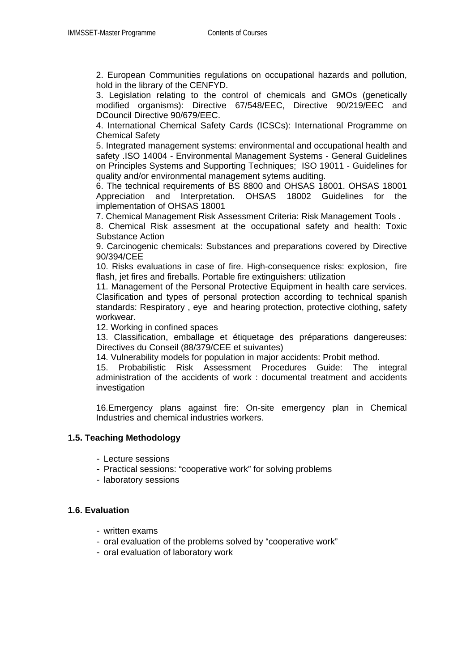2. European Communities regulations on occupational hazards and pollution, hold in the library of the CENFYD.

3. Legislation relating to the control of chemicals and GMOs (genetically modified organisms): Directive 67/548/EEC, Directive 90/219/EEC and DCouncil Directive 90/679/EEC.

4. International Chemical Safety Cards (ICSCs): International Programme on Chemical Safety

5. Integrated management systems: environmental and occupational health and safety .ISO 14004 - Environmental Management Systems - General Guidelines on Principles Systems and Supporting Techniques; ISO 19011 - Guidelines for quality and/or environmental management sytems auditing.

6. The technical requirements of BS 8800 and OHSAS 18001. OHSAS 18001 Appreciation and Interpretation. OHSAS 18002 Guidelines for the implementation of OHSAS 18001

7. Chemical Management Risk Assessment Criteria: Risk Management Tools .

8. Chemical Risk assesment at the occupational safety and health: Toxic Substance Action

9. Carcinogenic chemicals: Substances and preparations covered by Directive 90/394/CEE

10. Risks evaluations in case of fire. High-consequence risks: explosion, fire flash, jet fires and fireballs. Portable fire extinguishers: utilization

11. Management of the Personal Protective Equipment in health care services. Clasification and types of personal protection according to technical spanish standards: Respiratory , eye and hearing protection, protective clothing, safety workwear.

12. Working in confined spaces

13. Classification, emballage et étiquetage des préparations dangereuses: Directives du Conseil (88/379/CEE et suivantes)

14. Vulnerability models for population in major accidents: Probit method.

15. Probabilistic Risk Assessment Procedures Guide: The integral administration of the accidents of work : documental treatment and accidents investigation

16.Emergency plans against fire: On-site emergency plan in Chemical Industries and chemical industries workers.

#### **1.5. Teaching Methodology**

- Lecture sessions
- Practical sessions: "cooperative work" for solving problems
- laboratory sessions

#### **1.6. Evaluation**

- written exams
- oral evaluation of the problems solved by "cooperative work"
- oral evaluation of laboratory work